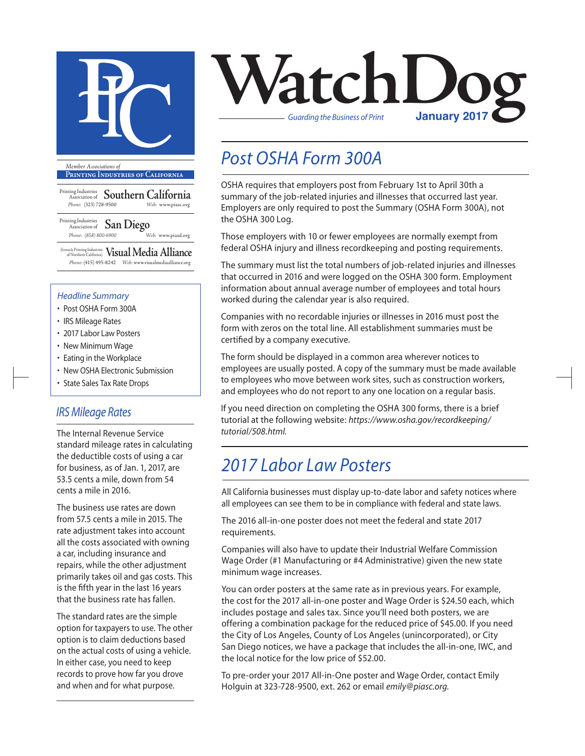

**Printing Industries of California**

Printing Industries Association of **Southern California** *Phone:* (323) 728-9500 *Web:* www.piasc.org

Printing Industries Association of **San Diego** *Phone: (858) 800-6900 Web:* www.piasd.org

(formerly Printing Industries of Northern California) **Visual Media Alliance** *Phone:* (415) 495-8242 *Web:* www.visualmediaalliance.org

#### *Headline Summary*

- Post OSHA Form 300A
- IRS Mileage Rates
- 2017 Labor Law Posters
- New Minimum Wage
- Eating in the Workplace
- New OSHA Electronic Submission
- State Sales Tax Rate Drops

### *IRS Mileage Rates*

The Internal Revenue Service standard mileage rates in calculating the deductible costs of using a car for business, as of Jan. 1, 2017, are 53.5 cents a mile, down from 54 cents a mile in 2016.

The business use rates are down from 57.5 cents a mile in 2015. The rate adjustment takes into account all the costs associated with owning a car, including insurance and repairs, while the other adjustment primarily takes oil and gas costs. This is the fifth year in the last 16 years that the business rate has fallen.

The standard rates are the simple option for taxpayers to use. The other option is to claim deductions based on the actual costs of using a vehicle. In either case, you need to keep records to prove how far you drove and when and for what purpose.



## *Post OSHA Form 300A*

OSHA requires that employers post from February 1st to April 30th a summary of the job-related injuries and illnesses that occurred last year. Employers are only required to post the Summary (OSHA Form 300A), not the OSHA 300 Log.

Those employers with 10 or fewer employees are normally exempt from federal OSHA injury and illness recordkeeping and posting requirements.

The summary must list the total numbers of job-related injuries and illnesses that occurred in 2016 and were logged on the OSHA 300 form. Employment information about annual average number of employees and total hours worked during the calendar year is also required.

Companies with no recordable injuries or illnesses in 2016 must post the form with zeros on the total line. All establishment summaries must be certified by a company executive.

The form should be displayed in a common area wherever notices to employees are usually posted. A copy of the summary must be made available to employees who move between work sites, such as construction workers, and employees who do not report to any one location on a regular basis.

If you need direction on completing the OSHA 300 forms, there is a brief tutorial at the following website: *https://www.osha.gov/recordkeeping/ tutorial/508.html.*

## *2017 Labor Law Posters*

All California businesses must display up-to-date labor and safety notices where all employees can see them to be in compliance with federal and state laws.

The 2016 all-in-one poster does not meet the federal and state 2017 requirements.

Companies will also have to update their Industrial Welfare Commission Wage Order (#1 Manufacturing or #4 Administrative) given the new state minimum wage increases.

You can order posters at the same rate as in previous years. For example, the cost for the 2017 all-in-one poster and Wage Order is \$24.50 each, which includes postage and sales tax. Since you'll need both posters, we are offering a combination package for the reduced price of \$45.00. If you need the City of Los Angeles, County of Los Angeles (unincorporated), or City San Diego notices, we have a package that includes the all-in-one, IWC, and the local notice for the low price of \$52.00.

To pre-order your 2017 All-in-One poster and Wage Order, contact Emily Holguin at 323-728-9500, ext. 262 or email *emily@piasc.org.*